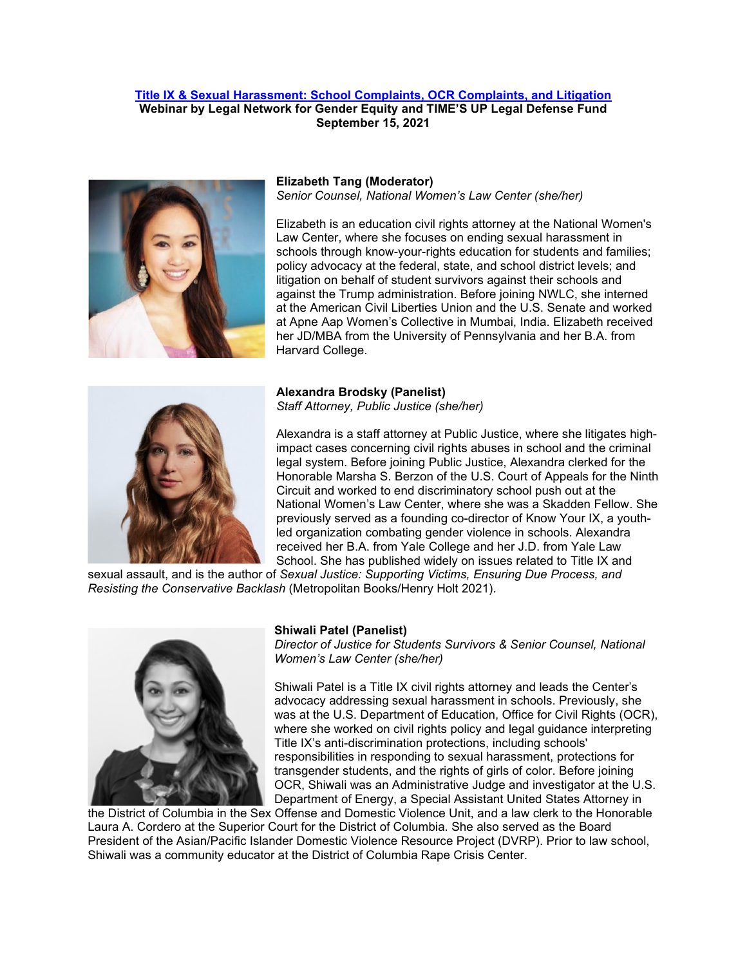## **[Title IX & Sexual Harassment: School Complaints, OCR Complaints, and Litigation](https://nwlc-org.zoom.us/meeting/register/tJcud-yuqDsrE9Y6RLVXIQFWx3LgGKA2wjDG) Webinar by Legal Network for Gender Equity and TIME'S UP Legal Defense Fund September 15, 2021**



### **Elizabeth Tang (Moderator)** *Senior Counsel, National Women's Law Center (she/her)*

Elizabeth is an education civil rights attorney at the National Women's Law Center, where she focuses on ending sexual harassment in schools through know-your-rights education for students and families; policy advocacy at the federal, state, and school district levels; and litigation on behalf of student survivors against their schools and against the Trump administration. Before joining NWLC, she interned at the American Civil Liberties Union and the U.S. Senate and worked at Apne Aap Women's Collective in Mumbai, India. Elizabeth received her JD/MBA from the University of Pennsylvania and her B.A. from Harvard College.



# **Alexandra Brodsky (Panelist)**

*Staff Attorney, Public Justice (she/her)*

Alexandra is a staff attorney at Public Justice, where she litigates highimpact cases concerning civil rights abuses in school and the criminal legal system. Before joining Public Justice, Alexandra clerked for the Honorable Marsha S. Berzon of the U.S. Court of Appeals for the Ninth Circuit and worked to end discriminatory school push out at the National Women's Law Center, where she was a Skadden Fellow. She previously served as a founding co-director of Know Your IX, a youthled organization combating gender violence in schools. Alexandra received her B.A. from Yale College and her J.D. from Yale Law School. She has published widely on issues related to Title IX and

sexual assault, and is the author of *Sexual Justice: Supporting Victims, Ensuring Due Process, and Resisting the Conservative Backlash* (Metropolitan Books/Henry Holt 2021).



## **Shiwali Patel (Panelist)**

*Director of Justice for Students Survivors & Senior Counsel, National Women's Law Center (she/her)*

Shiwali Patel is a Title IX civil rights attorney and leads the Center's advocacy addressing sexual harassment in schools. Previously, she was at the U.S. Department of Education, Office for Civil Rights (OCR). where she worked on civil rights policy and legal guidance interpreting Title IX's anti-discrimination protections, including schools' responsibilities in responding to sexual harassment, protections for transgender students, and the rights of girls of color. Before joining OCR, Shiwali was an Administrative Judge and investigator at the U.S. Department of Energy, a Special Assistant United States Attorney in

the District of Columbia in the Sex Offense and Domestic Violence Unit, and a law clerk to the Honorable Laura A. Cordero at the Superior Court for the District of Columbia. She also served as the Board President of the Asian/Pacific Islander Domestic Violence Resource Project (DVRP). Prior to law school, Shiwali was a community educator at the District of Columbia Rape Crisis Center.